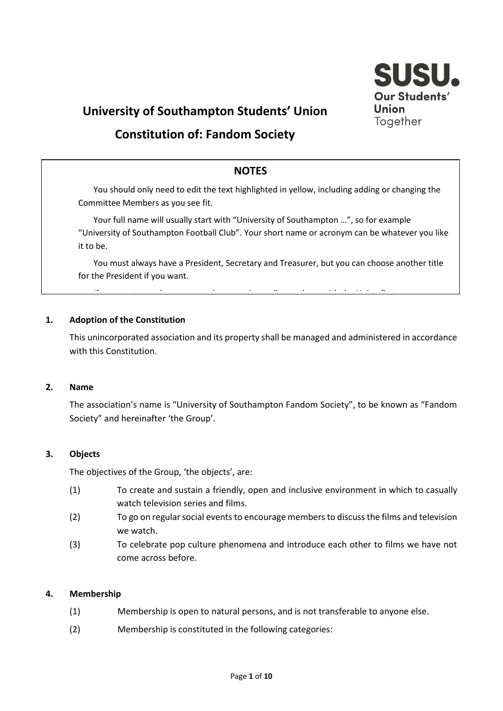

# **University of Southampton Students' Union**

# **Constitution of: Fandom Society**

# **NOTES**

You should only need to edit the text highlighted in yellow, including adding or changing the Committee Members as you see fit.

Your full name will usually start with "University of Southampton ...", so for example "University of Southampton Football Club". Your short name or acronym can be whatever you like it to be.

You must always have a President, Secretary and Treasurer, but you can choose another title for the President if you want.

If you want to make any more changes, please discuss the Union first extension first  $\mathcal{L}_{\mathcal{A}}$ 

#### **1. Adoption of the Constitution**

This unincorporated association and its property shall be managed and administered in accordance with this Constitution.

#### **2. Name**

The association's name is "University of Southampton Fandom Society", to be known as "Fandom Society" and hereinafter 'the Group'.

#### **3. Objects**

The objectives of the Group, 'the objects', are:

- (1) To create and sustain a friendly, open and inclusive environment in which to casually watch television series and films.
- (2) To go on regular social events to encourage members to discuss the films and television we watch.
- (3) To celebrate pop culture phenomena and introduce each other to films we have not come across before.

#### **4. Membership**

- (1) Membership is open to natural persons, and is not transferable to anyone else.
- (2) Membership is constituted in the following categories: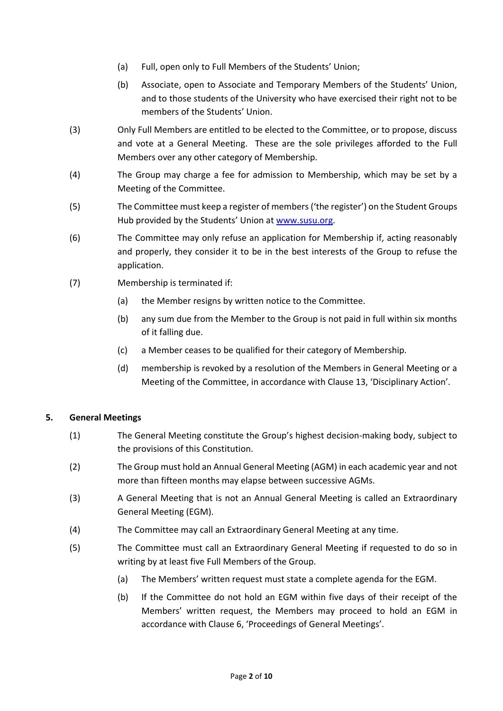- (a) Full, open only to Full Members of the Students' Union;
- (b) Associate, open to Associate and Temporary Members of the Students' Union, and to those students of the University who have exercised their right not to be members of the Students' Union.
- (3) Only Full Members are entitled to be elected to the Committee, or to propose, discuss and vote at a General Meeting. These are the sole privileges afforded to the Full Members over any other category of Membership.
- (4) The Group may charge a fee for admission to Membership, which may be set by a Meeting of the Committee.
- (5) The Committee must keep a register of members ('the register') on the Student Groups Hub provided by the Students' Union at [www.susu.org.](http://www.susu.org/)
- (6) The Committee may only refuse an application for Membership if, acting reasonably and properly, they consider it to be in the best interests of the Group to refuse the application.
- (7) Membership is terminated if:
	- (a) the Member resigns by written notice to the Committee.
	- (b) any sum due from the Member to the Group is not paid in full within six months of it falling due.
	- (c) a Member ceases to be qualified for their category of Membership.
	- (d) membership is revoked by a resolution of the Members in General Meeting or a Meeting of the Committee, in accordance with Clause 13, 'Disciplinary Action'.

# **5. General Meetings**

- (1) The General Meeting constitute the Group's highest decision-making body, subject to the provisions of this Constitution.
- (2) The Group must hold an Annual General Meeting (AGM) in each academic year and not more than fifteen months may elapse between successive AGMs.
- (3) A General Meeting that is not an Annual General Meeting is called an Extraordinary General Meeting (EGM).
- (4) The Committee may call an Extraordinary General Meeting at any time.
- (5) The Committee must call an Extraordinary General Meeting if requested to do so in writing by at least five Full Members of the Group.
	- (a) The Members' written request must state a complete agenda for the EGM.
	- (b) If the Committee do not hold an EGM within five days of their receipt of the Members' written request, the Members may proceed to hold an EGM in accordance with Clause 6, 'Proceedings of General Meetings'.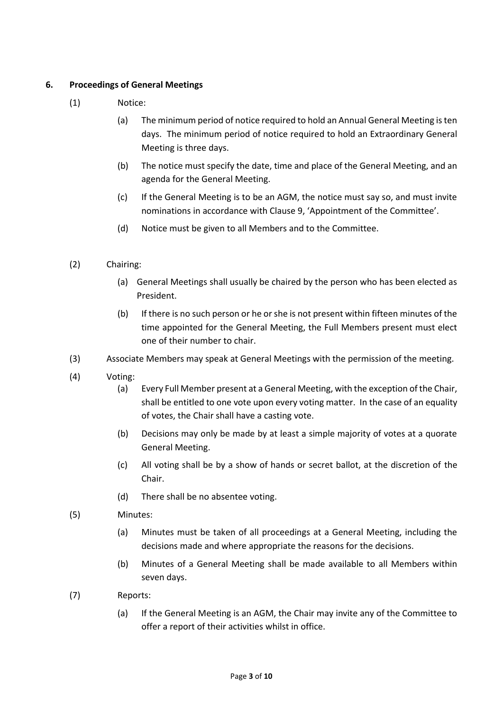## **6. Proceedings of General Meetings**

- (1) Notice:
	- (a) The minimum period of notice required to hold an Annual General Meeting is ten days. The minimum period of notice required to hold an Extraordinary General Meeting is three days.
	- (b) The notice must specify the date, time and place of the General Meeting, and an agenda for the General Meeting.
	- (c) If the General Meeting is to be an AGM, the notice must say so, and must invite nominations in accordance with Clause 9, 'Appointment of the Committee'.
	- (d) Notice must be given to all Members and to the Committee.
- (2) Chairing:
	- (a) General Meetings shall usually be chaired by the person who has been elected as President.
	- (b) If there is no such person or he or she is not present within fifteen minutes of the time appointed for the General Meeting, the Full Members present must elect one of their number to chair.
- (3) Associate Members may speak at General Meetings with the permission of the meeting.
- (4) Voting:
	- (a) Every Full Member present at a General Meeting, with the exception of the Chair, shall be entitled to one vote upon every voting matter. In the case of an equality of votes, the Chair shall have a casting vote.
	- (b) Decisions may only be made by at least a simple majority of votes at a quorate General Meeting.
	- (c) All voting shall be by a show of hands or secret ballot, at the discretion of the Chair.
	- (d) There shall be no absentee voting.
- (5) Minutes:
	- (a) Minutes must be taken of all proceedings at a General Meeting, including the decisions made and where appropriate the reasons for the decisions.
	- (b) Minutes of a General Meeting shall be made available to all Members within seven days.
- (7) Reports:
	- (a) If the General Meeting is an AGM, the Chair may invite any of the Committee to offer a report of their activities whilst in office.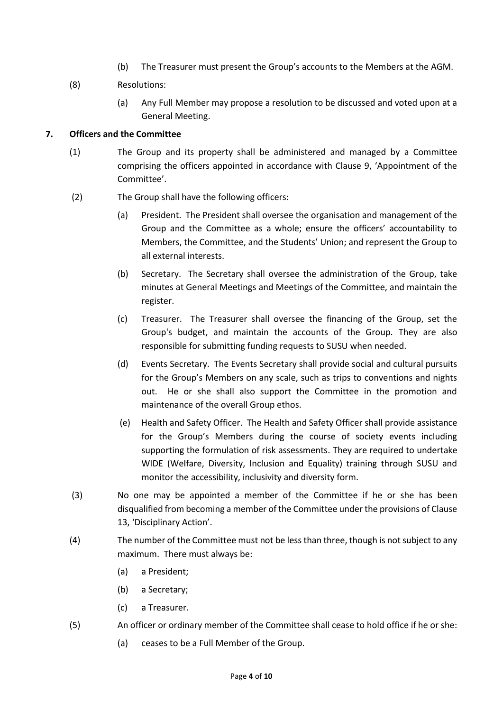- (b) The Treasurer must present the Group's accounts to the Members at the AGM.
- (8) Resolutions:
	- (a) Any Full Member may propose a resolution to be discussed and voted upon at a General Meeting.

#### **7. Officers and the Committee**

- (1) The Group and its property shall be administered and managed by a Committee comprising the officers appointed in accordance with Clause 9, 'Appointment of the Committee'.
- (2) The Group shall have the following officers:
	- (a) President. The President shall oversee the organisation and management of the Group and the Committee as a whole; ensure the officers' accountability to Members, the Committee, and the Students' Union; and represent the Group to all external interests.
	- (b) Secretary. The Secretary shall oversee the administration of the Group, take minutes at General Meetings and Meetings of the Committee, and maintain the register.
	- (c) Treasurer. The Treasurer shall oversee the financing of the Group, set the Group's budget, and maintain the accounts of the Group. They are also responsible for submitting funding requests to SUSU when needed.
	- (d) Events Secretary. The Events Secretary shall provide social and cultural pursuits for the Group's Members on any scale, such as trips to conventions and nights out. He or she shall also support the Committee in the promotion and maintenance of the overall Group ethos.
	- (e) Health and Safety Officer. The Health and Safety Officer shall provide assistance for the Group's Members during the course of society events including supporting the formulation of risk assessments. They are required to undertake WIDE (Welfare, Diversity, Inclusion and Equality) training through SUSU and monitor the accessibility, inclusivity and diversity form.
- (3) No one may be appointed a member of the Committee if he or she has been disqualified from becoming a member of the Committee under the provisions of Clause 13, 'Disciplinary Action'.
- (4) The number of the Committee must not be less than three, though is not subject to any maximum. There must always be:
	- (a) a President;
	- (b) a Secretary;
	- (c) a Treasurer.
- (5) An officer or ordinary member of the Committee shall cease to hold office if he or she:
	- (a) ceases to be a Full Member of the Group.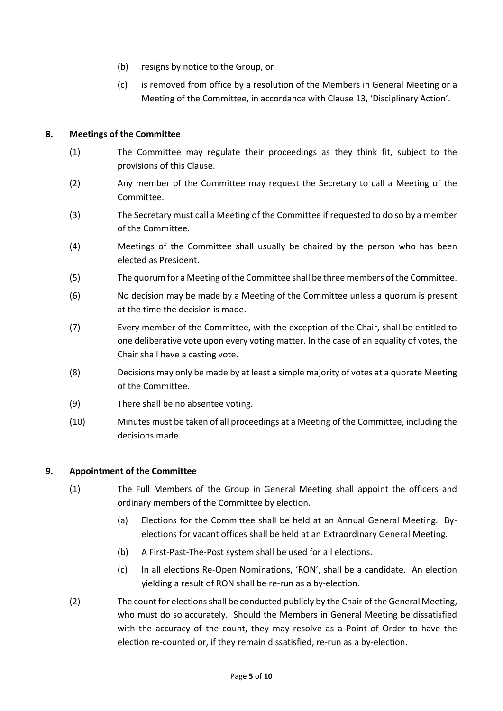- (b) resigns by notice to the Group, or
- (c) is removed from office by a resolution of the Members in General Meeting or a Meeting of the Committee, in accordance with Clause 13, 'Disciplinary Action'.

### **8. Meetings of the Committee**

- (1) The Committee may regulate their proceedings as they think fit, subject to the provisions of this Clause.
- (2) Any member of the Committee may request the Secretary to call a Meeting of the Committee.
- (3) The Secretary must call a Meeting of the Committee if requested to do so by a member of the Committee.
- (4) Meetings of the Committee shall usually be chaired by the person who has been elected as President.
- (5) The quorum for a Meeting of the Committee shall be three members of the Committee.
- (6) No decision may be made by a Meeting of the Committee unless a quorum is present at the time the decision is made.
- (7) Every member of the Committee, with the exception of the Chair, shall be entitled to one deliberative vote upon every voting matter. In the case of an equality of votes, the Chair shall have a casting vote.
- (8) Decisions may only be made by at least a simple majority of votes at a quorate Meeting of the Committee.
- (9) There shall be no absentee voting.
- (10) Minutes must be taken of all proceedings at a Meeting of the Committee, including the decisions made.

#### **9. Appointment of the Committee**

- (1) The Full Members of the Group in General Meeting shall appoint the officers and ordinary members of the Committee by election.
	- (a) Elections for the Committee shall be held at an Annual General Meeting. Byelections for vacant offices shall be held at an Extraordinary General Meeting.
	- (b) A First-Past-The-Post system shall be used for all elections.
	- (c) In all elections Re-Open Nominations, 'RON', shall be a candidate. An election yielding a result of RON shall be re-run as a by-election.
- (2) The count for elections shall be conducted publicly by the Chair of the General Meeting, who must do so accurately. Should the Members in General Meeting be dissatisfied with the accuracy of the count, they may resolve as a Point of Order to have the election re-counted or, if they remain dissatisfied, re-run as a by-election.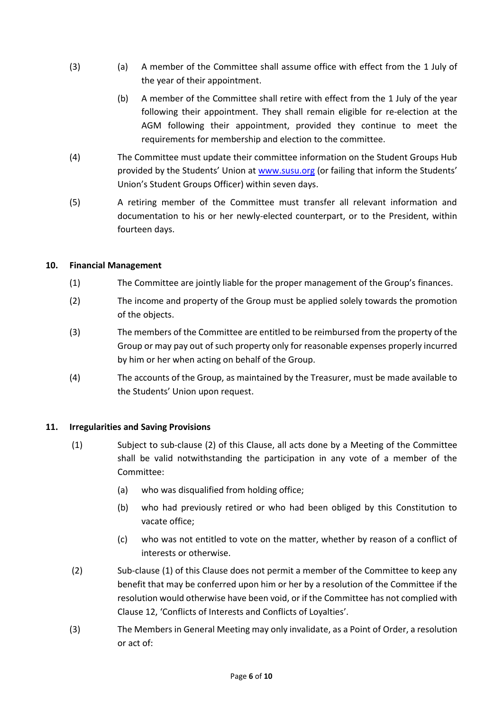- (3) (a) A member of the Committee shall assume office with effect from the 1 July of the year of their appointment.
	- (b) A member of the Committee shall retire with effect from the 1 July of the year following their appointment. They shall remain eligible for re-election at the AGM following their appointment, provided they continue to meet the requirements for membership and election to the committee.
- (4) The Committee must update their committee information on the Student Groups Hub provided by the Students' Union at [www.susu.org](http://www.susu.org/) (or failing that inform the Students' Union's Student Groups Officer) within seven days.
- (5) A retiring member of the Committee must transfer all relevant information and documentation to his or her newly-elected counterpart, or to the President, within fourteen days.

#### **10. Financial Management**

- (1) The Committee are jointly liable for the proper management of the Group's finances.
- (2) The income and property of the Group must be applied solely towards the promotion of the objects.
- (3) The members of the Committee are entitled to be reimbursed from the property of the Group or may pay out of such property only for reasonable expenses properly incurred by him or her when acting on behalf of the Group.
- (4) The accounts of the Group, as maintained by the Treasurer, must be made available to the Students' Union upon request.

#### **11. Irregularities and Saving Provisions**

- (1) Subject to sub-clause (2) of this Clause, all acts done by a Meeting of the Committee shall be valid notwithstanding the participation in any vote of a member of the Committee:
	- (a) who was disqualified from holding office;
	- (b) who had previously retired or who had been obliged by this Constitution to vacate office;
	- (c) who was not entitled to vote on the matter, whether by reason of a conflict of interests or otherwise.
- (2) Sub-clause (1) of this Clause does not permit a member of the Committee to keep any benefit that may be conferred upon him or her by a resolution of the Committee if the resolution would otherwise have been void, or if the Committee has not complied with Clause 12, 'Conflicts of Interests and Conflicts of Loyalties'.
- (3) The Members in General Meeting may only invalidate, as a Point of Order, a resolution or act of: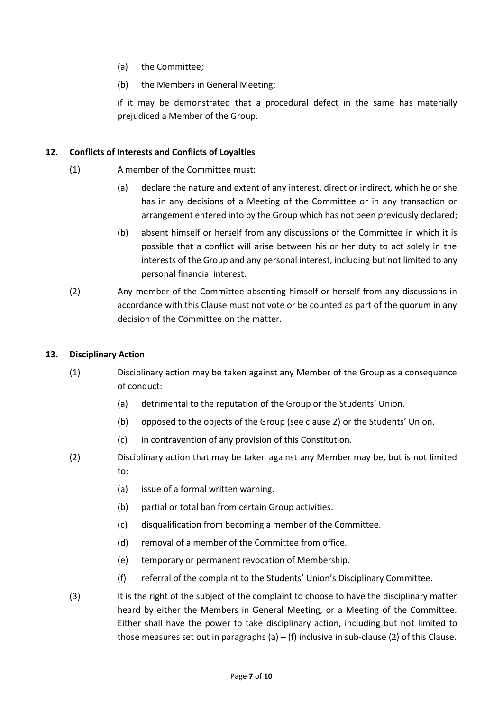- (a) the Committee;
- (b) the Members in General Meeting;

if it may be demonstrated that a procedural defect in the same has materially prejudiced a Member of the Group.

#### **12. Conflicts of Interests and Conflicts of Loyalties**

- (1) A member of the Committee must:
	- (a) declare the nature and extent of any interest, direct or indirect, which he or she has in any decisions of a Meeting of the Committee or in any transaction or arrangement entered into by the Group which has not been previously declared;
	- (b) absent himself or herself from any discussions of the Committee in which it is possible that a conflict will arise between his or her duty to act solely in the interests of the Group and any personal interest, including but not limited to any personal financial interest.
- (2) Any member of the Committee absenting himself or herself from any discussions in accordance with this Clause must not vote or be counted as part of the quorum in any decision of the Committee on the matter.

#### **13. Disciplinary Action**

- (1) Disciplinary action may be taken against any Member of the Group as a consequence of conduct:
	- (a) detrimental to the reputation of the Group or the Students' Union.
	- (b) opposed to the objects of the Group (see clause 2) or the Students' Union.
	- (c) in contravention of any provision of this Constitution.
- (2) Disciplinary action that may be taken against any Member may be, but is not limited to:
	- (a) issue of a formal written warning.
	- (b) partial or total ban from certain Group activities.
	- (c) disqualification from becoming a member of the Committee.
	- (d) removal of a member of the Committee from office.
	- (e) temporary or permanent revocation of Membership.
	- (f) referral of the complaint to the Students' Union's Disciplinary Committee.
- (3) It is the right of the subject of the complaint to choose to have the disciplinary matter heard by either the Members in General Meeting, or a Meeting of the Committee. Either shall have the power to take disciplinary action, including but not limited to those measures set out in paragraphs (a) – (f) inclusive in sub-clause (2) of this Clause.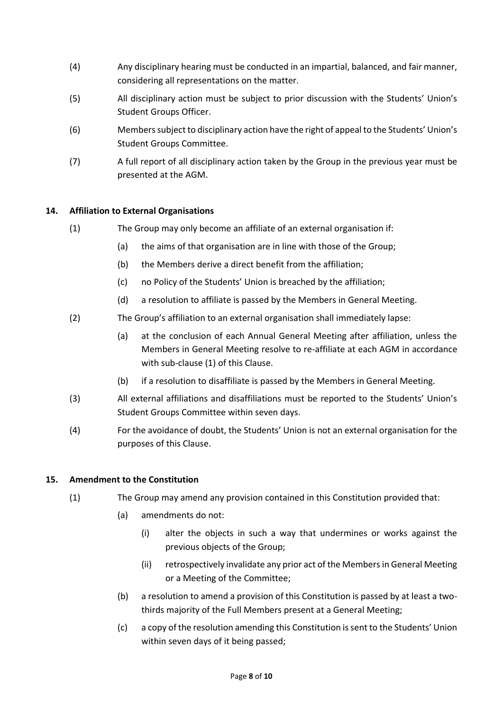- (4) Any disciplinary hearing must be conducted in an impartial, balanced, and fair manner, considering all representations on the matter.
- (5) All disciplinary action must be subject to prior discussion with the Students' Union's Student Groups Officer.
- (6) Members subject to disciplinary action have the right of appeal to the Students' Union's Student Groups Committee.
- (7) A full report of all disciplinary action taken by the Group in the previous year must be presented at the AGM.

### **14. Affiliation to External Organisations**

- (1) The Group may only become an affiliate of an external organisation if:
	- (a) the aims of that organisation are in line with those of the Group;
	- (b) the Members derive a direct benefit from the affiliation;
	- (c) no Policy of the Students' Union is breached by the affiliation;
	- (d) a resolution to affiliate is passed by the Members in General Meeting.
- (2) The Group's affiliation to an external organisation shall immediately lapse:
	- (a) at the conclusion of each Annual General Meeting after affiliation, unless the Members in General Meeting resolve to re-affiliate at each AGM in accordance with sub-clause (1) of this Clause.
	- (b) if a resolution to disaffiliate is passed by the Members in General Meeting.
- (3) All external affiliations and disaffiliations must be reported to the Students' Union's Student Groups Committee within seven days.
- (4) For the avoidance of doubt, the Students' Union is not an external organisation for the purposes of this Clause.

#### **15. Amendment to the Constitution**

- (1) The Group may amend any provision contained in this Constitution provided that:
	- (a) amendments do not:
		- (i) alter the objects in such a way that undermines or works against the previous objects of the Group;
		- (ii) retrospectively invalidate any prior act of the Members in General Meeting or a Meeting of the Committee;
	- (b) a resolution to amend a provision of this Constitution is passed by at least a twothirds majority of the Full Members present at a General Meeting;
	- (c) a copy of the resolution amending this Constitution is sent to the Students' Union within seven days of it being passed;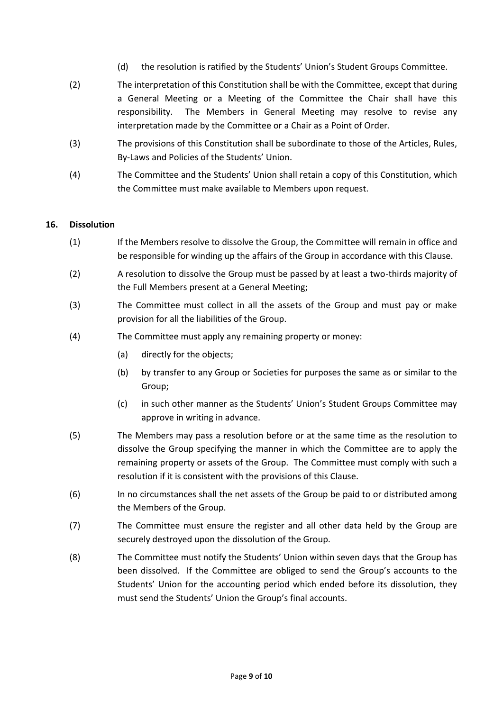- (d) the resolution is ratified by the Students' Union's Student Groups Committee.
- (2) The interpretation of this Constitution shall be with the Committee, except that during a General Meeting or a Meeting of the Committee the Chair shall have this responsibility. The Members in General Meeting may resolve to revise any interpretation made by the Committee or a Chair as a Point of Order.
- (3) The provisions of this Constitution shall be subordinate to those of the Articles, Rules, By-Laws and Policies of the Students' Union.
- (4) The Committee and the Students' Union shall retain a copy of this Constitution, which the Committee must make available to Members upon request.

#### **16. Dissolution**

- (1) If the Members resolve to dissolve the Group, the Committee will remain in office and be responsible for winding up the affairs of the Group in accordance with this Clause.
- (2) A resolution to dissolve the Group must be passed by at least a two-thirds majority of the Full Members present at a General Meeting;
- (3) The Committee must collect in all the assets of the Group and must pay or make provision for all the liabilities of the Group.
- (4) The Committee must apply any remaining property or money:
	- (a) directly for the objects;
	- (b) by transfer to any Group or Societies for purposes the same as or similar to the Group;
	- (c) in such other manner as the Students' Union's Student Groups Committee may approve in writing in advance.
- (5) The Members may pass a resolution before or at the same time as the resolution to dissolve the Group specifying the manner in which the Committee are to apply the remaining property or assets of the Group. The Committee must comply with such a resolution if it is consistent with the provisions of this Clause.
- (6) In no circumstances shall the net assets of the Group be paid to or distributed among the Members of the Group.
- (7) The Committee must ensure the register and all other data held by the Group are securely destroyed upon the dissolution of the Group.
- (8) The Committee must notify the Students' Union within seven days that the Group has been dissolved. If the Committee are obliged to send the Group's accounts to the Students' Union for the accounting period which ended before its dissolution, they must send the Students' Union the Group's final accounts.